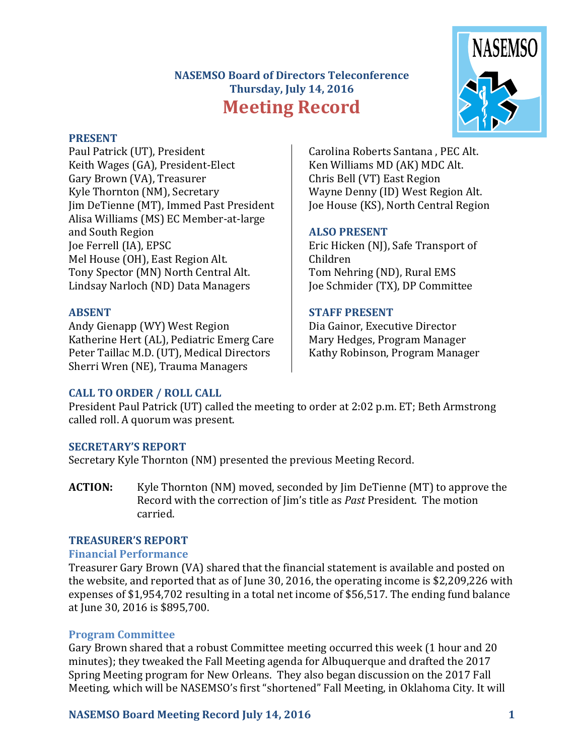## **NASEMSO Board of Directors Teleconference Thursday, July 14, 2016 Meeting Record**



#### **PRESENT**

Paul Patrick (UT), President Keith Wages (GA), President-Elect Gary Brown (VA), Treasurer Kyle Thornton (NM), Secretary Jim DeTienne (MT), Immed Past President Alisa Williams (MS) EC Member-at-large and South Region Joe Ferrell (IA), EPSC Mel House (OH), East Region Alt. Tony Spector (MN) North Central Alt. Lindsay Narloch (ND) Data Managers

#### **ABSENT**

Andy Gienapp (WY) West Region Katherine Hert (AL), Pediatric Emerg Care Peter Taillac M.D. (UT), Medical Directors Sherri Wren (NE), Trauma Managers

Carolina Roberts Santana , PEC Alt. Ken Williams MD (AK) MDC Alt. Chris Bell (VT) East Region Wayne Denny (ID) West Region Alt. Joe House (KS), North Central Region

#### **ALSO PRESENT**

Eric Hicken (NJ), Safe Transport of Children Tom Nehring (ND), Rural EMS Joe Schmider (TX), DP Committee

#### **STAFF PRESENT**

Dia Gainor, Executive Director Mary Hedges, Program Manager Kathy Robinson, Program Manager

## **CALL TO ORDER / ROLL CALL**

President Paul Patrick (UT) called the meeting to order at 2:02 p.m. ET; Beth Armstrong called roll. A quorum was present.

## **SECRETARY'S REPORT**

Secretary Kyle Thornton (NM) presented the previous Meeting Record.

**ACTION:** Kyle Thornton (NM) moved, seconded by Jim DeTienne (MT) to approve the Record with the correction of Jim's title as *Past* President. The motion carried.

#### **TREASURER'S REPORT**

#### **Financial Performance**

Treasurer Gary Brown (VA) shared that the financial statement is available and posted on the website, and reported that as of June 30, 2016, the operating income is \$2,209,226 with expenses of \$1,954,702 resulting in a total net income of \$56,517. The ending fund balance at June 30, 2016 is \$895,700.

## **Program Committee**

Gary Brown shared that a robust Committee meeting occurred this week (1 hour and 20 minutes); they tweaked the Fall Meeting agenda for Albuquerque and drafted the 2017 Spring Meeting program for New Orleans. They also began discussion on the 2017 Fall Meeting, which will be NASEMSO's first "shortened" Fall Meeting, in Oklahoma City. It will

#### **NASEMSO Board Meeting Record July 14, 2016 1**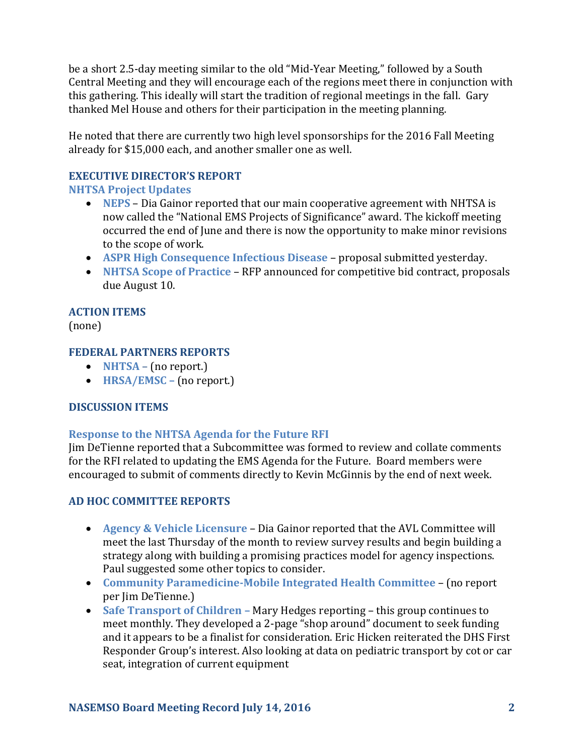be a short 2.5-day meeting similar to the old "Mid-Year Meeting," followed by a South Central Meeting and they will encourage each of the regions meet there in conjunction with this gathering. This ideally will start the tradition of regional meetings in the fall. Gary thanked Mel House and others for their participation in the meeting planning.

He noted that there are currently two high level sponsorships for the 2016 Fall Meeting already for \$15,000 each, and another smaller one as well.

# **EXECUTIVE DIRECTOR'S REPORT**

## **NHTSA Project Updates**

- **NEPS** Dia Gainor reported that our main cooperative agreement with NHTSA is now called the "National EMS Projects of Significance" award. The kickoff meeting occurred the end of June and there is now the opportunity to make minor revisions to the scope of work.
- **ASPR High Consequence Infectious Disease**  proposal submitted yesterday.
- **NHTSA Scope of Practice**  RFP announced for competitive bid contract, proposals due August 10.

## **ACTION ITEMS**

(none)

## **FEDERAL PARTNERS REPORTS**

- **NHTSA** (no report.)
- **HRSA/EMSC –** (no report.)

## **DISCUSSION ITEMS**

## **Response to the NHTSA Agenda for the Future RFI**

Jim DeTienne reported that a Subcommittee was formed to review and collate comments for the RFI related to updating the EMS Agenda for the Future. Board members were encouraged to submit of comments directly to Kevin McGinnis by the end of next week.

## **AD HOC COMMITTEE REPORTS**

- **Agency & Vehicle Licensure** Dia Gainor reported that the AVL Committee will meet the last Thursday of the month to review survey results and begin building a strategy along with building a promising practices model for agency inspections. Paul suggested some other topics to consider.
- **Community Paramedicine-Mobile Integrated Health Committee** (no report per Jim DeTienne.)
- **Safe Transport of Children –** Mary Hedges reporting this group continues to meet monthly. They developed a 2-page "shop around" document to seek funding and it appears to be a finalist for consideration. Eric Hicken reiterated the DHS First Responder Group's interest. Also looking at data on pediatric transport by cot or car seat, integration of current equipment